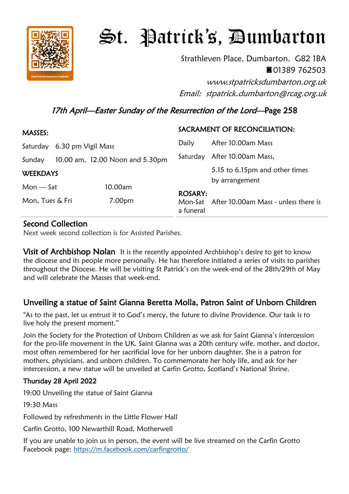

# St. Patrick's, Dumbarton

Strathleven Place, Dumbarton. G82 1BA 01389 762503

www.stpatricksdumbarton.org.uk Email: stpatrick.dumbarton@rcag.org.uk

### 17th April—Easter Sunday of the Resurrection of the Lord—Page 258

| MASSES:                     |  |                                 | SACRAMENT OF RECONCILIATION: |                                                  |
|-----------------------------|--|---------------------------------|------------------------------|--------------------------------------------------|
| Saturday 6.30 pm Vigil Mass |  |                                 | Daily                        | After 10.00am Mass                               |
| Sunday                      |  | 10.00 am, 12.00 Noon and 5.30pm | Saturday                     | After 10.00am Mass,                              |
| <b>WEEKDAYS</b>             |  |                                 |                              | 5.15 to 6.15pm and other times<br>by arrangement |
| $Mon - Sat$                 |  | 10.00am                         |                              |                                                  |
| Mon, Tues & Fri             |  | 7.00pm                          | <b>ROSARY:</b><br>a funeral  | Mon-Sat After 10.00am Mass - unless there is     |

#### Second Collection

Next week second collection is for Assisted Parishes.

**Visit of Archbishop Nolan** It is the recently appointed Archbishop's desire to get to know the diocese and its people more personally. He has therefore initiated a series of visits to parishes throughout the Diocese. He will be visiting St Patrick's on the week-end of the 28th/29th of May and will celebrate the Masses that week-end.

#### Unveiling a statue of Saint Gianna Beretta Molla, Patron Saint of Unborn Children

"As to the past, let us entrust it to God's mercy, the future to divine Providence. Our task is to live holy the present moment."

Join the Society for the Protection of Unborn Children as we ask for Saint Gianna's intercession for the pro-life movement in the UK. Saint Gianna was a 20th century wife, mother, and doctor, most often remembered for her sacrificial love for her unborn daughter. She is a patron for mothers, physicians, and unborn children. To commemorate her holy life, and ask for her intercession, a new statue will be unveiled at Carfin Grotto, Scotland's National Shrine.

#### Thursday 28 April 2022

19:00 Unveiling the statue of Saint Gianna

19:30 Mass

Followed by refreshments in the Little Flower Hall

Carfin Grotto, 100 Newarthill Road, Motherwell

If you are unable to join us in person, the event will be live streamed on the Carfin Grotto Facebook page: <https://m.facebook.com/carfingrotto/>